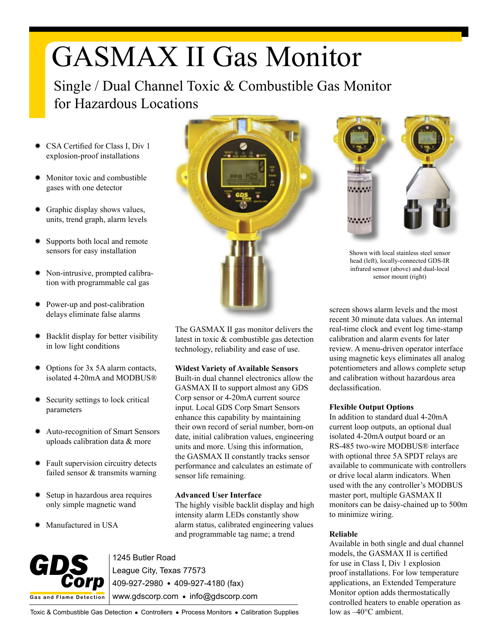# GASMAX II Gas Monitor

Single / Dual Channel Toxic & Combustible Gas Monitor for Hazardous Locations

- ✹ CSA Certified for Class I, Div 1 explosion-proof installations
- Monitor toxic and combustible gases with one detector
- ✹ Graphic display shows values, units, trend graph, alarm levels
- Supports both local and remote sensors for easy installation
- Non-intrusive, prompted calibration with programmable cal gas
- ✹ Power-up and post-calibration delays eliminate false alarms
- ✹ Backlit display for better visibility in low light conditions
- ✹ Options for 3x 5A alarm contacts, isolated 4-20mA and MODBUS®
- Security settings to lock critical parameters
- ✹ Auto-recognition of Smart Sensors uploads calibration data & more
- ✹ Fault supervision circuitry detects failed sensor & transmits warning
- Setup in hazardous area requires only simple magnetic wand
- ✹ Manufactured in USA



The GASMAX II gas monitor delivers the latest in toxic & combustible gas detection technology, reliability and ease of use.

### **Widest Variety of Available Sensors**

Built-in dual channel electronics allow the GASMAX II to support almost any GDS Corp sensor or 4-20mA current source input. Local GDS Corp Smart Sensors enhance this capability by maintaining their own record of serial number, born-on date, initial calibration values, engineering units and more. Using this information, the GASMAX II constantly tracks sensor performance and calculates an estimate of sensor life remaining.

### **Advanced User Interface**

The highly visible backlit display and high intensity alarm LEDs constantly show alarm status, calibrated engineering values and programmable tag name; a trend



1245 Butler Road League City, Texas 77573 409-927-2980 409-927-4180 (fax) www.gdscorp.com · info@gdscorp.com



Shown with local stainless steel sensor head (left), locally-connected GDS-IR infrared sensor (above) and dual-local sensor mount (right)

screen shows alarm levels and the most recent 30 minute data values. An internal real-time clock and event log time-stamp calibration and alarm events for later review. A menu-driven operator interface using magnetic keys eliminates all analog potentiometers and allows complete setup and calibration without hazardous area declassification.

# **Flexible Output Options**

In addition to standard dual 4-20mA current loop outputs, an optional dual isolated 4-20mA output board or an RS-485 two-wire MODBUS® interface with optional three 5A SPDT relays are available to communicate with controllers or drive local alarm indicators. When used with the any controller's MODBUS master port, multiple GASMAX II monitors can be daisy-chained up to 500m to minimize wiring.

# **Reliable**

Available in both single and dual channel models, the GASMAX II is certified for use in Class I, Div 1 explosion proof installations. For low temperature applications, an Extended Temperature Monitor option adds thermostatically controlled heaters to enable operation as low as –40°C ambient.

Toxic & Combustible Gas Detection . Controllers . Process Monitors . Calibration Supplies